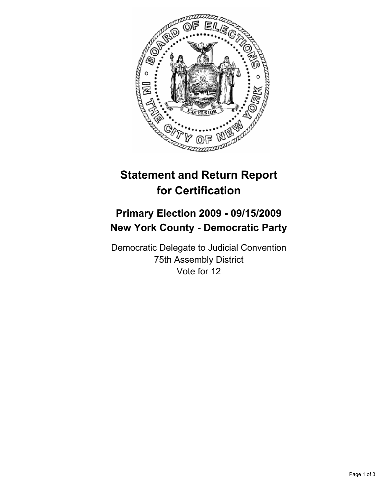

## **Statement and Return Report for Certification**

## **Primary Election 2009 - 09/15/2009 New York County - Democratic Party**

Democratic Delegate to Judicial Convention 75th Assembly District Vote for 12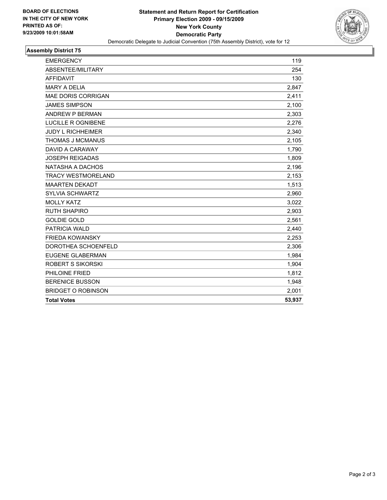

## **Assembly District 75**

| <b>EMERGENCY</b>          | 119    |
|---------------------------|--------|
| ABSENTEE/MILITARY         | 254    |
| <b>AFFIDAVIT</b>          | 130    |
| <b>MARY A DELIA</b>       | 2,847  |
| <b>MAE DORIS CORRIGAN</b> | 2,411  |
| <b>JAMES SIMPSON</b>      | 2,100  |
| ANDREW P BERMAN           | 2,303  |
| <b>LUCILLE R OGNIBENE</b> | 2,276  |
| <b>JUDY L RICHHEIMER</b>  | 2,340  |
| <b>THOMAS J MCMANUS</b>   | 2,105  |
| DAVID A CARAWAY           | 1,790  |
| <b>JOSEPH REIGADAS</b>    | 1,809  |
| NATASHA A DACHOS          | 2,196  |
| <b>TRACY WESTMORELAND</b> | 2,153  |
| <b>MAARTEN DEKADT</b>     | 1,513  |
| <b>SYLVIA SCHWARTZ</b>    | 2,960  |
| <b>MOLLY KATZ</b>         | 3,022  |
| <b>RUTH SHAPIRO</b>       | 2,903  |
| <b>GOLDIE GOLD</b>        | 2,561  |
| <b>PATRICIA WALD</b>      | 2,440  |
| <b>FRIEDA KOWANSKY</b>    | 2,253  |
| DOROTHEA SCHOENFELD       | 2,306  |
| <b>EUGENE GLABERMAN</b>   | 1,984  |
| <b>ROBERT S SIKORSKI</b>  | 1,904  |
| PHILOINE FRIED            | 1,812  |
| <b>BERENICE BUSSON</b>    | 1,948  |
| <b>BRIDGET O ROBINSON</b> | 2,001  |
| <b>Total Votes</b>        | 53,937 |